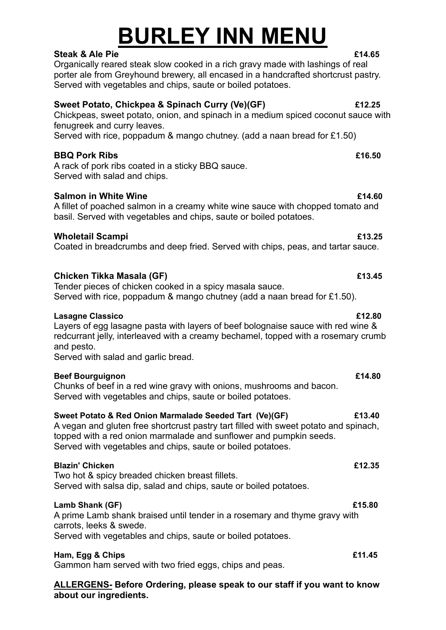# **BURLEY INN MENU**

**Steak & Ale Pie £14.65** Organically reared steak slow cooked in a rich gravy made with lashings of real porter ale from Greyhound brewery, all encased in a handcrafted shortcrust pastry. Served with vegetables and chips, saute or boiled potatoes.

### **Sweet Potato, Chickpea & Spinach Curry (Ve)(GF) £12.25**

Chickpeas, sweet potato, onion, and spinach in a medium spiced coconut sauce with fenugreek and curry leaves.

Served with rice, poppadum & mango chutney. (add a naan bread for £1.50)

### **BBQ Pork Ribs £16.50**

A rack of pork ribs coated in a sticky BBQ sauce. Served with salad and chips.

### **Salmon in White Wine £14.60**

A fillet of poached salmon in a creamy white wine sauce with chopped tomato and basil. Served with vegetables and chips, saute or boiled potatoes.

### **Wholetail Scampi £13.25**

Coated in breadcrumbs and deep fried. Served with chips, peas, and tartar sauce.

### **Chicken Tikka Masala (GF) £13.45**

Tender pieces of chicken cooked in a spicy masala sauce. Served with rice, poppadum & mango chutney (add a naan bread for £1.50).

### **Lasagne Classico £12.80**

Layers of egg lasagne pasta with layers of beef bolognaise sauce with red wine & redcurrant jelly, interleaved with a creamy bechamel, topped with a rosemary crumb and pesto.

Served with salad and garlic bread.

### **Beef Bourguignon £14.80**

Chunks of beef in a red wine gravy with onions, mushrooms and bacon. Served with vegetables and chips, saute or boiled potatoes.

### **Sweet Potato & Red Onion Marmalade Seeded Tart (Ve)(GF) £13.40**

A vegan and gluten free shortcrust pastry tart filled with sweet potato and spinach, topped with a red onion marmalade and sunflower and pumpkin seeds. Served with vegetables and chips, saute or boiled potatoes.

### **Blazin' Chicken £12.35**

Two hot & spicy breaded chicken breast fillets. Served with salsa dip, salad and chips, saute or boiled potatoes.

### **Lamb Shank (GF) £15.80**

A prime Lamb shank braised until tender in a rosemary and thyme gravy with carrots, leeks & swede.

Served with vegetables and chips, saute or boiled potatoes.

### **Ham, Egg & Chips £11.45**

Gammon ham served with two fried eggs, chips and peas.

**ALLERGENS- Before Ordering, please speak to our staff if you want to know about our ingredients.**